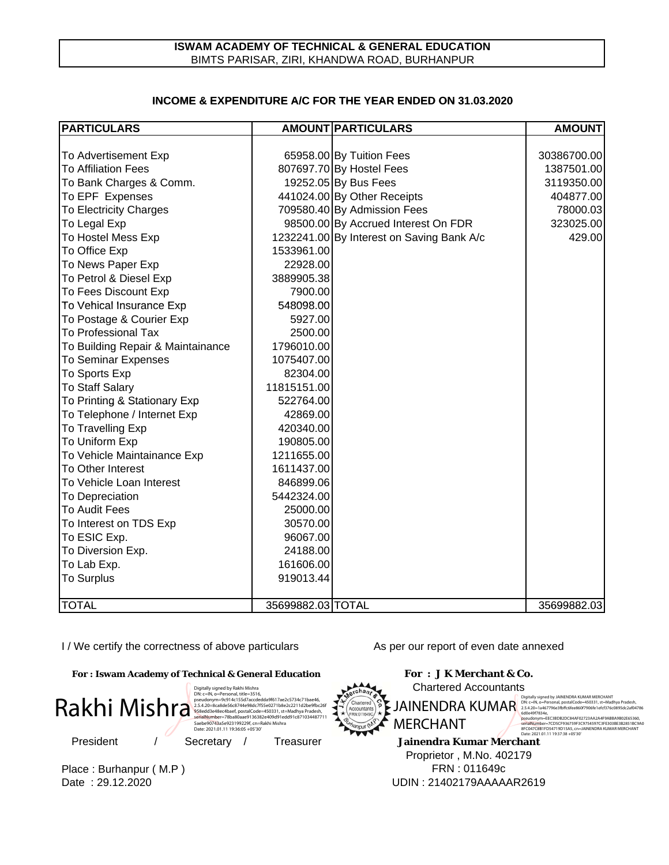## **INCOME & EXPENDITURE A/C FOR THE YEAR ENDED ON 31 03 2020 INCOME & EXPENDITURE A/C FOR THE YEAR ENDED ON 31.03.2020**

| <b>PARTICULARS</b>                |                   | <b>AMOUNT PARTICULARS</b>                 | <b>AMOUNT</b> |
|-----------------------------------|-------------------|-------------------------------------------|---------------|
|                                   |                   |                                           |               |
| To Advertisement Exp              |                   | 65958.00 By Tuition Fees                  | 30386700.00   |
| <b>To Affiliation Fees</b>        |                   | 807697.70 By Hostel Fees                  | 1387501.00    |
| To Bank Charges & Comm.           |                   | 19252.05 By Bus Fees                      | 3119350.00    |
| To EPF Expenses                   |                   | 441024.00 By Other Receipts               | 404877.00     |
| <b>To Electricity Charges</b>     |                   | 709580.40 By Admission Fees               | 78000.03      |
| To Legal Exp                      |                   | 98500.00 By Accrued Interest On FDR       | 323025.00     |
| To Hostel Mess Exp                |                   | 1232241.00 By Interest on Saving Bank A/c | 429.00        |
| To Office Exp                     | 1533961.00        |                                           |               |
| To News Paper Exp                 | 22928.00          |                                           |               |
| To Petrol & Diesel Exp            | 3889905.38        |                                           |               |
| To Fees Discount Exp              | 7900.00           |                                           |               |
| To Vehical Insurance Exp          | 548098.00         |                                           |               |
| To Postage & Courier Exp          | 5927.00           |                                           |               |
| <b>To Professional Tax</b>        | 2500.00           |                                           |               |
| To Building Repair & Maintainance | 1796010.00        |                                           |               |
| <b>To Seminar Expenses</b>        | 1075407.00        |                                           |               |
| To Sports Exp                     | 82304.00          |                                           |               |
| <b>To Staff Salary</b>            | 11815151.00       |                                           |               |
| To Printing & Stationary Exp      | 522764.00         |                                           |               |
| To Telephone / Internet Exp       | 42869.00          |                                           |               |
| To Travelling Exp                 | 420340.00         |                                           |               |
| To Uniform Exp                    | 190805.00         |                                           |               |
| To Vehicle Maintainance Exp       | 1211655.00        |                                           |               |
| To Other Interest                 | 1611437.00        |                                           |               |
| To Vehicle Loan Interest          | 846899.06         |                                           |               |
| To Depreciation                   | 5442324.00        |                                           |               |
| To Audit Fees                     | 25000.00          |                                           |               |
| To Interest on TDS Exp            | 30570.00          |                                           |               |
| To ESIC Exp.                      | 96067.00          |                                           |               |
| To Diversion Exp.                 | 24188.00          |                                           |               |
| To Lab Exp.                       | 161606.00         |                                           |               |
| <b>To Surplus</b>                 | 919013.44         |                                           |               |
|                                   |                   |                                           |               |
| <b>TOTAL</b>                      | 35699882.03 TOTAL |                                           | 35699882.03   |

I / We certify the correctness of above particulars

**For : Iswam Academy of Technical & General Education**



Place : Burhanpur ( M.P ) Date : 29.12.2020

As per our report of even date annexed



Proprietor , M.No. 402179 FRN : 011649c UDIN : 21402179AAAAAR2619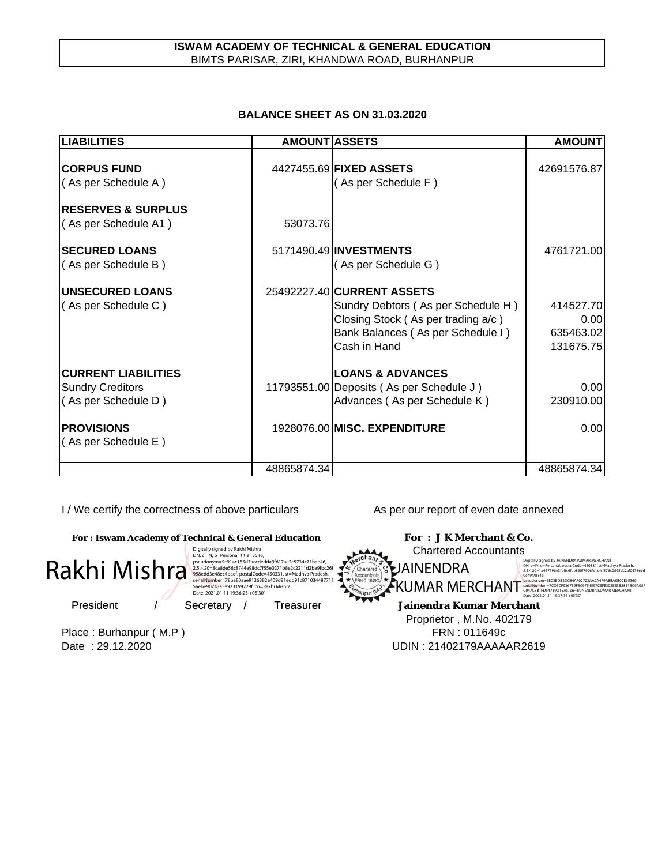# **ISWAM ACADEMY OF TECHNICAL & GENERAL EDUCATION** BIMTS PARISAR, ZIRI, KHANDWA ROAD, BURHANPUR

# **BALANCE SHEET AS ON 31.03.2020**

| <b>LIABILITIES</b>                                                           | <b>AMOUNT ASSETS</b> |                                                                                                                                                             | <b>AMOUNT</b>                               |
|------------------------------------------------------------------------------|----------------------|-------------------------------------------------------------------------------------------------------------------------------------------------------------|---------------------------------------------|
| <b>CORPUS FUND</b><br>(As per Schedule A)                                    |                      | 4427455.69 FIXED ASSETS<br>(As per Schedule F)                                                                                                              | 42691576.87                                 |
| <b>IRESERVES &amp; SURPLUS</b><br>(As per Schedule A1)                       | 53073.76             |                                                                                                                                                             |                                             |
| <b>SECURED LOANS</b><br>(As per Schedule B)                                  |                      | 5171490.49 INVESTMENTS<br>(As per Schedule G)                                                                                                               | 4761721.00                                  |
| <b>UNSECURED LOANS</b><br>(As per Schedule C)                                |                      | 25492227.40 CURRENT ASSETS<br>Sundry Debtors (As per Schedule H)<br>Closing Stock (As per trading a/c)<br>Bank Balances (As per Schedule I)<br>Cash in Hand | 414527.70<br>0.00<br>635463.02<br>131675.75 |
| <b>CURRENT LIABILITIES</b><br><b>Sundry Creditors</b><br>(As per Schedule D) |                      | <b>LOANS &amp; ADVANCES</b><br>11793551.00 Deposits (As per Schedule J)<br>Advances (As per Schedule K)                                                     | 0.00<br>230910.00                           |
| <b>PROVISIONS</b><br>(As per Schedule E)                                     |                      | 1928076.00 MISC. EXPENDITURE                                                                                                                                | 0.00                                        |
|                                                                              | 48865874.34          |                                                                                                                                                             | 48865874.34                                 |

I / We certify the correctness of above particulars As per our report of even date annexed

**Jainendra Kumar Merchant Jainendra Kumar For : Iswam Academy of Technical & General Education For : J K Merchant & Co.** President / Secretary / Treasurer Chartered Accountants  $\footnotesize{\textbf{R}}$ <br>  $\footnotesize{\textbf{R}}$ <br>
President (M.P ) Free Example,  $\footnotesize{\textbf{R}}$  and  $\footnotesize{\textbf{R}}$  and  $\footnotesize{\textbf{R}}$  and  $\footnotesize{\textbf{R}}$  and  $\footnotesize{\textbf{R}}$  and  $\footnotesize{\textbf{R}}$  and  $\footnotesize{\textbf{R}}$  and  $\footnotesize{\textbf{R}}$  and  $\footnotesize{\textbf{R}}$  and  $\footnotesize{\textbf{$ Proprietor , M.No. 402179 Rakhi Mishra Digitally signed by Rakhi Mishra<br>Dik C=lN, o=Personal, title=3516,<br>pseudonym=9c914c155d7accdedda9f617ae2c5734c71bae46,<br>2.5.4.20=&cade56c6744e98dc7f55e0271b8e2c2211d2be9fbc26f<br>958edd3e48ec4baef, postalCode=450331, st=Madhya Date: 2021.01.11 19:36:23 +05'30' JAINENDRA  $\text{KUMAR}$  MERCHANT  $\text{F}^{\text{pseudo}(\text{B}}_{\text{C047}\times\text{B17}\text{D547}\text{19} \text{19} \text{19} \text{147}}_{\text{C047}\times\text{B17}\text{D547}\text{19} \text{19} \text{19} \text{19} \text{19} \text{19} \text{19} \text{19} \text{19} \text{19} \text{10} \text{10} \text{10} \text{10} \text{10} \text{10} \text{10} \text{10} \text{10}$ Digitally signed by JAINENDRA KUMAR MERCHANT<br>DN: c=IN, o=Personal, postalCode=450331, st=Madhya Pradesh,<br>2.5.4.20=1a467796e3fbffc6fee860f7906fe1efcf376c0895dc2af047866d 0e49f7834e,<br>pseudonym=EEC3BDB2DC84AF02723AA2A4F9ABBA9B02E65360,<br>serialNumber=7CD5CF936759F3C9754597C3FE303BE3B2851BC9A08F<br>C047C8B1FD54719D15A5, cn=JAINENDRA KUMAR MERCHANT

Date : 29.12.2020 UDIN : 21402179AAAAAR2619

FRN : 011649c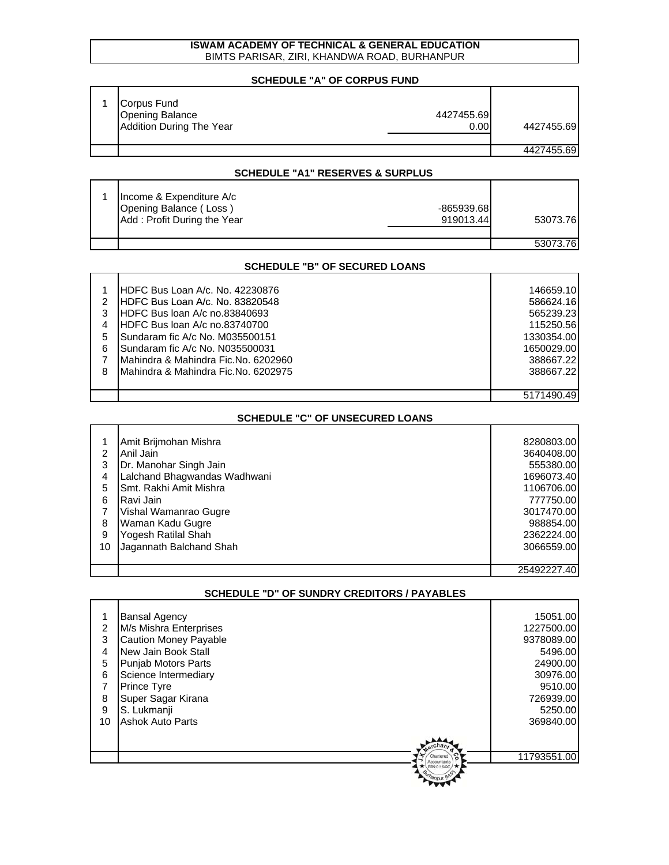#### **ISWAM ACADEMY OF TECHNICAL & GENERAL EDUCATION** BIMTS PARISAR, ZIRI, KHANDWA ROAD, BURHANPUR

# **SCHEDULE "A" OF CORPUS FUND**

| Corpus Fund<br><b>Opening Balance</b><br><b>Addition During The Year</b> | 4427455.69<br>0.00 | 4427455.69 |
|--------------------------------------------------------------------------|--------------------|------------|
|                                                                          |                    | 4427455.69 |

#### **SCHEDULE "A1" RESERVES & SURPLUS**

| Income & Expenditure A/c<br>Opening Balance (Loss)<br>Add: Profit During the Year | $-865939.68$<br>919013.44 | 53073.76 |
|-----------------------------------------------------------------------------------|---------------------------|----------|
|                                                                                   |                           | 53073.76 |

#### **SCHEDULE "B" OF SECURED LOANS**

|   | <b>IHDFC Bus Loan A/c. No. 42230876</b> | 146659.10  |
|---|-----------------------------------------|------------|
|   | IHDFC Bus Loan A/c. No. 83820548        | 586624.16  |
| 3 | HDFC Bus loan A/c no.83840693           | 565239.23  |
|   | <b>IHDFC Bus Joan A/c no.83740700</b>   | 115250.56  |
| 5 | Sundaram fic A/c No. M035500151         | 1330354.00 |
| 6 | Sundaram fic A/c No. N035500031         | 1650029.00 |
|   | Mahindra & Mahindra Fic.No. 6202960     | 388667.22  |
| 8 | IMahindra & Mahindra Fic.No. 6202975    | 388667.22  |
|   |                                         |            |
|   |                                         |            |

#### **SCHEDULE "C" OF UNSECURED LOANS**

| $\mathcal{P}$<br>3<br>4<br>5<br>6<br>8<br>9<br>10 | Amit Brijmohan Mishra<br>Anil Jain<br>Dr. Manohar Singh Jain<br>Lalchand Bhagwandas Wadhwani<br>Smt. Rakhi Amit Mishra<br>Ravi Jain<br>Vishal Wamanrao Gugre<br>Waman Kadu Gugre<br>Yogesh Ratilal Shah<br>Jagannath Balchand Shah | 8280803.00<br>3640408.00<br>555380.00<br>1696073.40<br>1106706.00<br>777750.00<br>3017470.00<br>988854.00<br>2362224.00<br>3066559.00 |
|---------------------------------------------------|------------------------------------------------------------------------------------------------------------------------------------------------------------------------------------------------------------------------------------|---------------------------------------------------------------------------------------------------------------------------------------|
|                                                   |                                                                                                                                                                                                                                    | 25492227.40                                                                                                                           |

|    | $911$ $11$ $110$ $11$ $11$ $11$ $11$ $11$ $11$ |             |  |  |
|----|------------------------------------------------|-------------|--|--|
|    |                                                |             |  |  |
|    | <b>Bansal Agency</b>                           | 15051.00    |  |  |
| 2  | M/s Mishra Enterprises                         | 1227500.00  |  |  |
| 3  | <b>Caution Money Payable</b>                   | 9378089.00  |  |  |
| 4  | New Jain Book Stall                            | 5496.00     |  |  |
| 5  | Punjab Motors Parts                            | 24900.00    |  |  |
| 6  | Science Intermediary                           | 30976.00    |  |  |
|    | <b>Prince Tyre</b>                             | 9510.00     |  |  |
| 8  | Super Sagar Kirana                             | 726939.00   |  |  |
| 9  | S. Lukmanji                                    | 5250.00     |  |  |
| 10 | <b>Ashok Auto Parts</b>                        | 369840.00   |  |  |
|    |                                                |             |  |  |
|    |                                                |             |  |  |
|    |                                                | 11793551.00 |  |  |
|    |                                                |             |  |  |
|    |                                                |             |  |  |
|    |                                                |             |  |  |

# **SCHEDULE "D" OF SUNDRY CREDITORS / PAYABLES**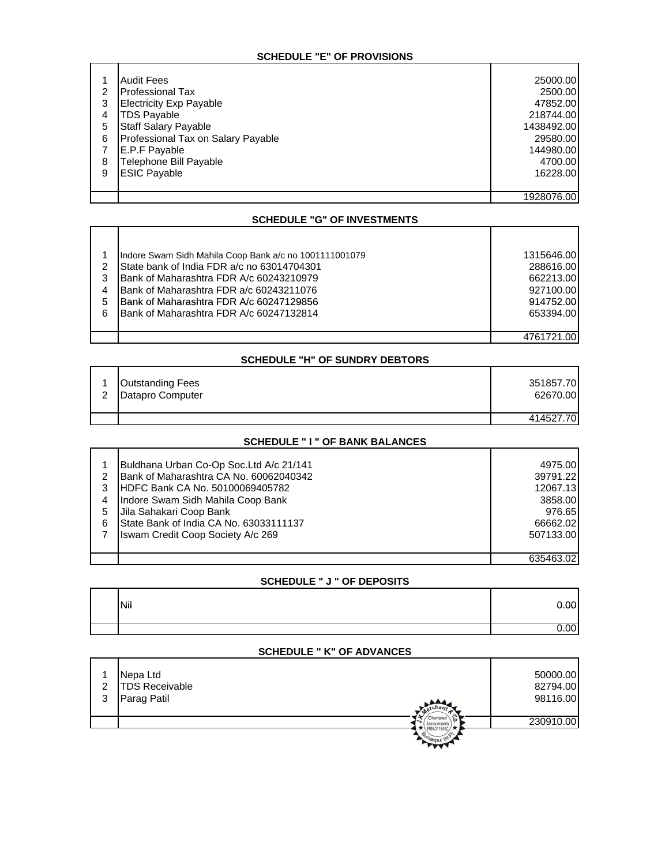## **SCHEDULE "E" OF PROVISIONS**

|   | <b>Audit Fees</b>                  | 25000.00   |
|---|------------------------------------|------------|
| 2 | <b>Professional Tax</b>            | 2500.00    |
| 3 | <b>Electricity Exp Payable</b>     | 47852.00   |
| 4 | <b>TDS Payable</b>                 | 218744.00  |
| 5 | <b>Staff Salary Payable</b>        | 1438492.00 |
| 6 | Professional Tax on Salary Payable | 29580.00   |
|   | E.P.F Payable                      | 144980.00  |
| 8 | Telephone Bill Payable             | 4700.00    |
| 9 | <b>ESIC Payable</b>                | 16228.00   |
|   |                                    |            |
|   |                                    | 1928076.00 |

## **SCHEDULE "G" OF INVESTMENTS**

٦

|               | Indore Swam Sidh Mahila Coop Bank a/c no 1001111001079 | 1315646.00 |
|---------------|--------------------------------------------------------|------------|
| $\mathcal{P}$ | State bank of India FDR a/c no 63014704301             | 288616.00  |
| 3             | <b>Bank of Maharashtra FDR A/c 60243210979</b>         | 662213.00  |
| 4             | Bank of Maharashtra FDR a/c 60243211076                | 927100.00  |
| 5             | <b>IBank of Maharashtra FDR A/c 60247129856</b>        | 914752.00  |
| 6             | Bank of Maharashtra FDR A/c 60247132814                | 653394.00  |
|               |                                                        |            |
|               |                                                        | 4761721.00 |

## **SCHEDULE "H" OF SUNDRY DEBTORS**

| 2 | <b>Outstanding Fees</b><br>Datapro Computer | 351857.70<br>62670.00 |
|---|---------------------------------------------|-----------------------|
|   |                                             | 414527.70             |

# **SCHEDULE " I " OF BANK BALANCES**

|   | Buldhana Urban Co-Op Soc.Ltd A/c 21/141 | 4975.00   |
|---|-----------------------------------------|-----------|
|   |                                         |           |
| 2 | Bank of Maharashtra CA No. 60062040342  | 39791.22  |
| 3 | HDFC Bank CA No. 50100069405782         | 12067.13  |
| 4 | Indore Swam Sidh Mahila Coop Bank       | 3858.00   |
|   | Jila Sahakari Coop Bank                 | 976.65    |
| 6 | State Bank of India CA No. 63033111137  | 66662.02  |
|   | Iswam Credit Coop Society A/c 269       | 507133.00 |
|   |                                         |           |
|   |                                         | 635463.02 |

## **SCHEDULE " J " OF DEPOSITS**

| Nil | 0.00             |
|-----|------------------|
|     | .00 <sub>1</sub> |

#### **SCHEDULE " K" OF ADVANCES**

| 2<br>3 | Nepa Ltd<br><b>TDS Receivable</b><br>Parag Patil | -cn | 50000.00<br>82794.00<br>98116.00 |
|--------|--------------------------------------------------|-----|----------------------------------|
|        |                                                  |     | 230910.00                        |
|        |                                                  |     |                                  |